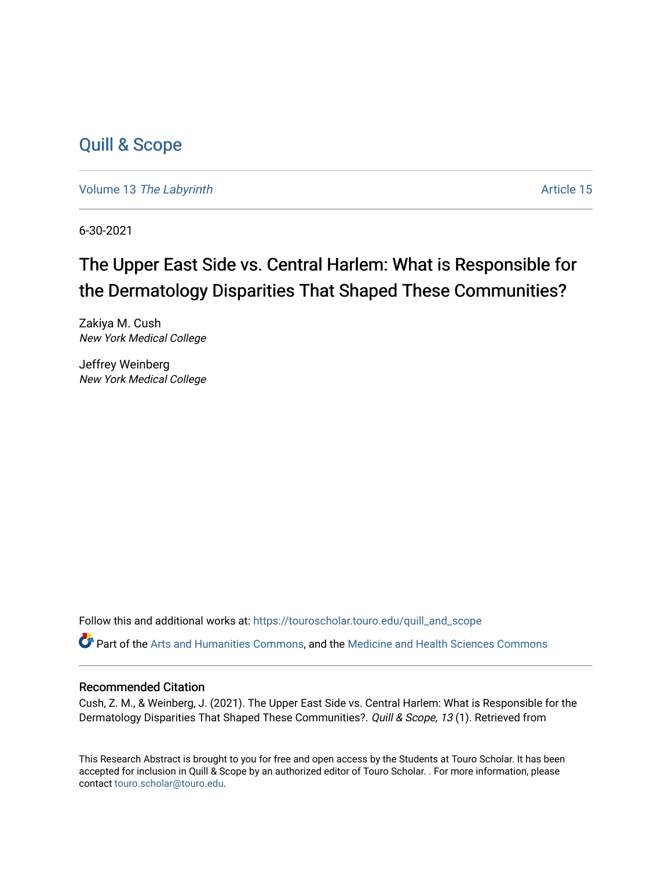## [Quill & Scope](https://touroscholar.touro.edu/quill_and_scope)

Volume 13 [The Labyrinth](https://touroscholar.touro.edu/quill_and_scope/vol13) Article 15

6-30-2021

## The Upper East Side vs. Central Harlem: What is Responsible for the Dermatology Disparities That Shaped These Communities?

Zakiya M. Cush New York Medical College

Jeffrey Weinberg New York Medical College

Follow this and additional works at: [https://touroscholar.touro.edu/quill\\_and\\_scope](https://touroscholar.touro.edu/quill_and_scope?utm_source=touroscholar.touro.edu%2Fquill_and_scope%2Fvol13%2Fiss1%2F15&utm_medium=PDF&utm_campaign=PDFCoverPages)

Part of the [Arts and Humanities Commons,](http://network.bepress.com/hgg/discipline/438?utm_source=touroscholar.touro.edu%2Fquill_and_scope%2Fvol13%2Fiss1%2F15&utm_medium=PDF&utm_campaign=PDFCoverPages) and the [Medicine and Health Sciences Commons](http://network.bepress.com/hgg/discipline/648?utm_source=touroscholar.touro.edu%2Fquill_and_scope%2Fvol13%2Fiss1%2F15&utm_medium=PDF&utm_campaign=PDFCoverPages)

### Recommended Citation

Cush, Z. M., & Weinberg, J. (2021). The Upper East Side vs. Central Harlem: What is Responsible for the Dermatology Disparities That Shaped These Communities?. Quill & Scope, 13 (1). Retrieved from

This Research Abstract is brought to you for free and open access by the Students at Touro Scholar. It has been accepted for inclusion in Quill & Scope by an authorized editor of Touro Scholar. . For more information, please contact [touro.scholar@touro.edu.](mailto:touro.scholar@touro.edu)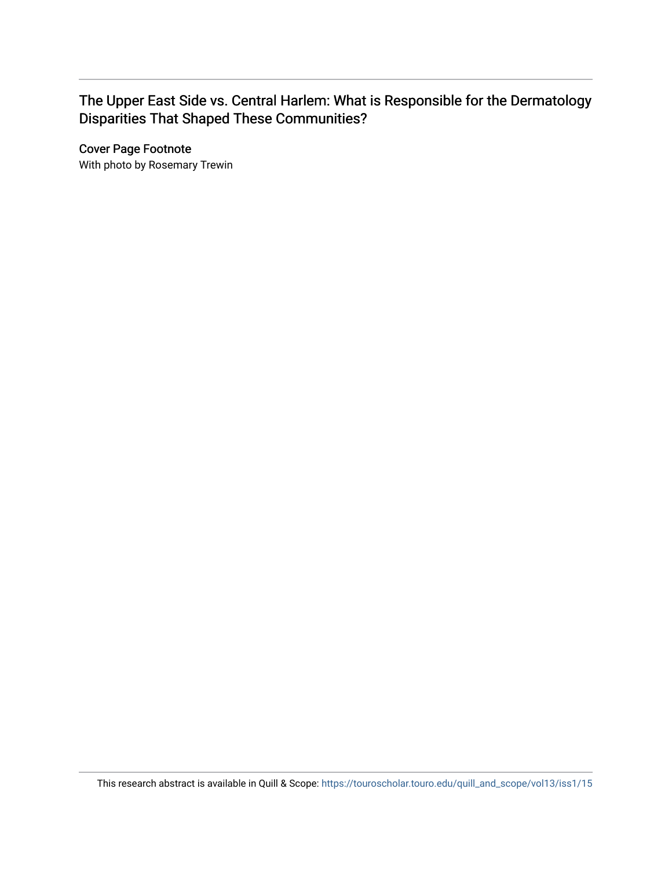### The Upper East Side vs. Central Harlem: What is Responsible for the Dermatology Disparities That Shaped These Communities?

Cover Page Footnote

With photo by Rosemary Trewin

This research abstract is available in Quill & Scope: [https://touroscholar.touro.edu/quill\\_and\\_scope/vol13/iss1/15](https://touroscholar.touro.edu/quill_and_scope/vol13/iss1/15)